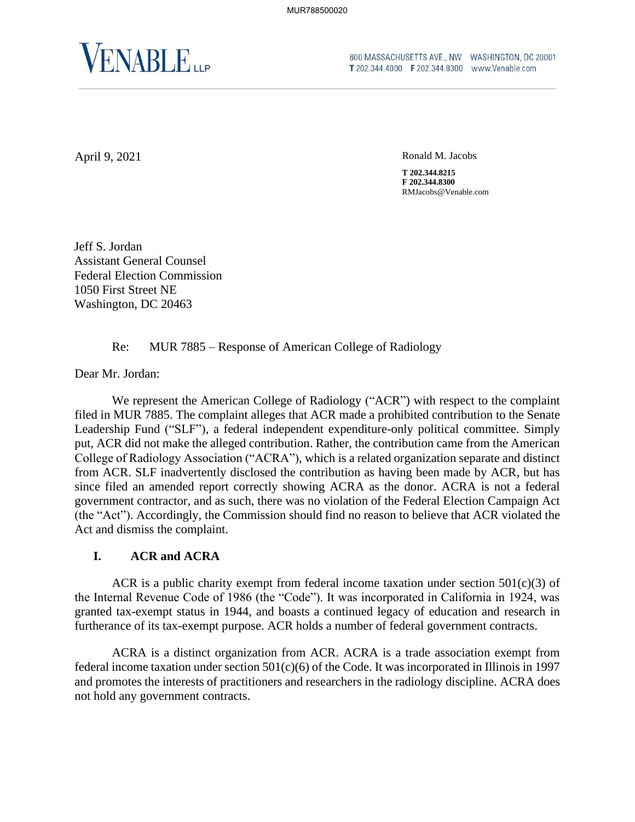

FINABLER **CODIMASSACHUSETTS AVE., NW** WASHINGTON, DC 20001 **T** 202.344.4000 **F** 202.344.8300 www.Venable.com

April 9, 2021 Ronald M. Jacobs

**T 202.344.8215 F 202.344.8300** RMJacobs@Venable.com

Jeff S. Jordan Assistant General Counsel Federal Election Commission 1050 First Street NE Washington, DC 20463

### Re: MUR 7885 – Response of American College of Radiology

Dear Mr. Jordan:

We represent the American College of Radiology ("ACR") with respect to the complaint filed in MUR 7885. The complaint alleges that ACR made a prohibited contribution to the Senate Leadership Fund ("SLF"), a federal independent expenditure-only political committee. Simply put, ACR did not make the alleged contribution. Rather, the contribution came from the American College of Radiology Association ("ACRA"), which is a related organization separate and distinct from ACR. SLF inadvertently disclosed the contribution as having been made by ACR, but has since filed an amended report correctly showing ACRA as the donor. ACRA is not a federal government contractor, and as such, there was no violation of the Federal Election Campaign Act (the "Act"). Accordingly, the Commission should find no reason to believe that ACR violated the Act and dismiss the complaint.

## **I. ACR and ACRA**

ACR is a public charity exempt from federal income taxation under section  $501(c)(3)$  of the Internal Revenue Code of 1986 (the "Code"). It was incorporated in California in 1924, was granted tax-exempt status in 1944, and boasts a continued legacy of education and research in furtherance of its tax-exempt purpose. ACR holds a number of federal government contracts.

ACRA is a distinct organization from ACR. ACRA is a trade association exempt from federal income taxation under section  $501(c)(6)$  of the Code. It was incorporated in Illinois in 1997 and promotes the interests of practitioners and researchers in the radiology discipline. ACRA does not hold any government contracts.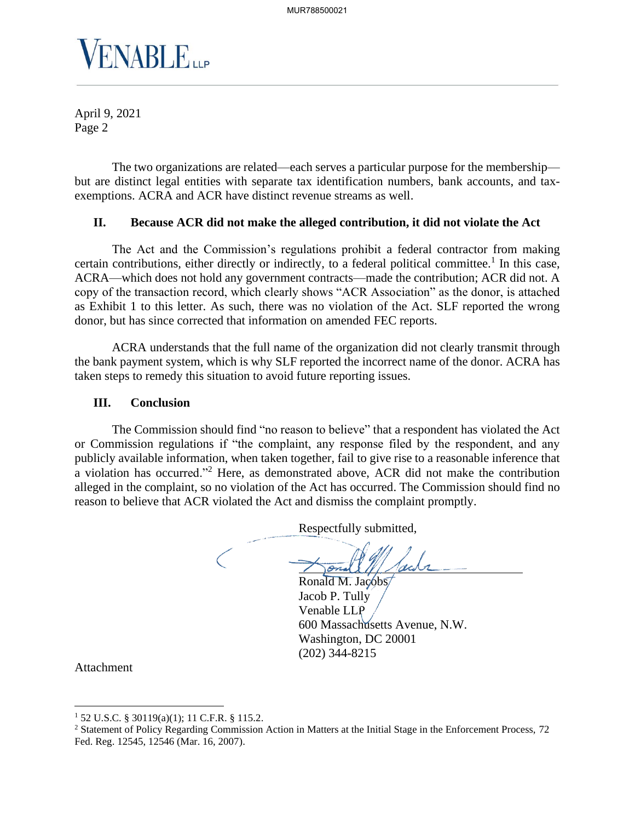

April 9, 2021 Page 2

The two organizations are related—each serves a particular purpose for the membership but are distinct legal entities with separate tax identification numbers, bank accounts, and taxexemptions. ACRA and ACR have distinct revenue streams as well.

# **II. Because ACR did not make the alleged contribution, it did not violate the Act**

The Act and the Commission's regulations prohibit a federal contractor from making certain contributions, either directly or indirectly, to a federal political committee.<sup>1</sup> In this case, ACRA—which does not hold any government contracts—made the contribution; ACR did not. A copy of the transaction record, which clearly shows "ACR Association" as the donor, is attached as Exhibit 1 to this letter. As such, there was no violation of the Act. SLF reported the wrong donor, but has since corrected that information on amended FEC reports.

ACRA understands that the full name of the organization did not clearly transmit through the bank payment system, which is why SLF reported the incorrect name of the donor. ACRA has taken steps to remedy this situation to avoid future reporting issues.

#### **III. Conclusion**

The Commission should find "no reason to believe" that a respondent has violated the Act or Commission regulations if "the complaint, any response filed by the respondent, and any publicly available information, when taken together, fail to give rise to a reasonable inference that a violation has occurred."<sup>2</sup> Here, as demonstrated above, ACR did not make the contribution alleged in the complaint, so no violation of the Act has occurred. The Commission should find no reason to believe that ACR violated the Act and dismiss the complaint promptly.

> Respectfully submitted,  $\bigg($

Ronald M. Jacobs Jacob P. Tully Venable LLP venable LLP<br>600 Massachusetts Avenue, N.W. Washington, DC 20001 (202) 344-8215

Attachment

<sup>1</sup> 52 U.S.C. § 30119(a)(1); 11 C.F.R. § 115.2.

<sup>&</sup>lt;sup>2</sup> Statement of Policy Regarding Commission Action in Matters at the Initial Stage in the Enforcement Process, 72 Fed. Reg. 12545, 12546 (Mar. 16, 2007).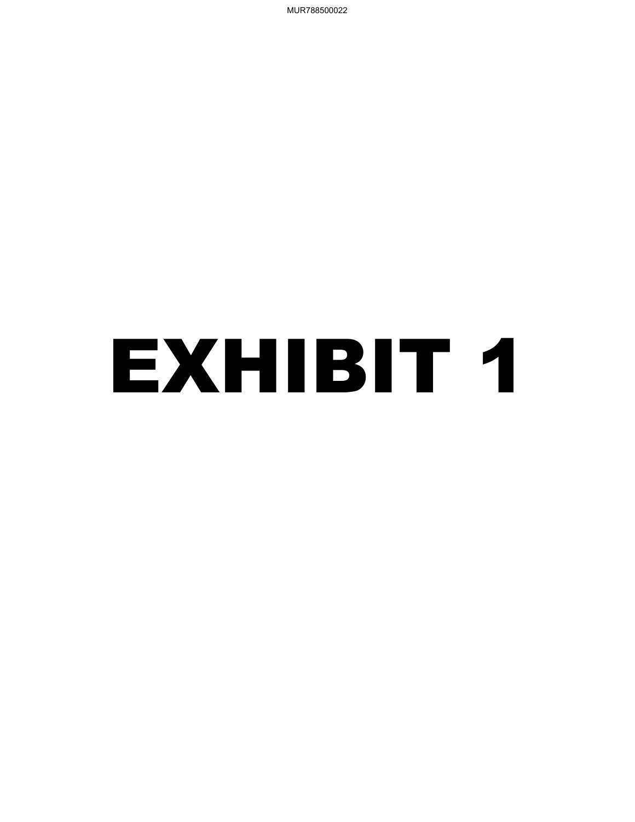MUR788500022

# EXHIBIT 1